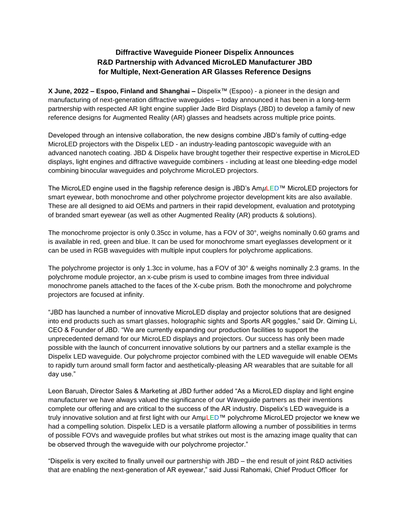# **Diffractive Waveguide Pioneer Dispelix Announces R&D Partnership with Advanced MicroLED Manufacturer JBD for Multiple, Next-Generation AR Glasses Reference Designs**

**X June, 2022 – Espoo, Finland and Shanghai –** Dispelix™ (Espoo) - a pioneer in the design and manufacturing of next-generation diffractive waveguides – today announced it has been in a long-term partnership with respected AR light engine supplier Jade Bird Displays (JBD) to develop a family of new reference designs for Augmented Reality (AR) glasses and headsets across multiple price points.

Developed through an intensive collaboration, the new designs combine JBD's family of cutting-edge MicroLED projectors with the Dispelix LED - an industry-leading pantoscopic waveguide with an advanced nanotech coating. JBD & Dispelix have brought together their respective expertise in MicroLED displays, light engines and diffractive waveguide combiners - including at least one bleeding-edge model combining binocular waveguides and polychrome MicroLED projectors.

The MicroLED engine used in the flagship reference design is JBD's Am*µ*LED™ MicroLED projectors for smart eyewear, both monochrome and other polychrome projector development kits are also available. These are all designed to aid OEMs and partners in their rapid development, evaluation and prototyping of branded smart eyewear (as well as other Augmented Reality (AR) products & solutions).

The monochrome projector is only 0.35cc in volume, has a FOV of 30°, weighs nominally 0.60 grams and is available in red, green and blue. It can be used for monochrome smart eyeglasses development or it can be used in RGB waveguides with multiple input couplers for polychrome applications.

The polychrome projector is only 1.3cc in volume, has a FOV of 30° & weighs nominally 2.3 grams. In the polychrome module projector, an x-cube prism is used to combine images from three individual monochrome panels attached to the faces of the X-cube prism. Both the monochrome and polychrome projectors are focused at infinity.

"JBD has launched a number of innovative MicroLED display and projector solutions that are designed into end products such as smart glasses, holographic sights and Sports AR goggles," said Dr. Qiming Li, CEO & Founder of JBD. "We are currently expanding our production facilities to support the unprecedented demand for our MicroLED displays and projectors. Our success has only been made possible with the launch of concurrent innovative solutions by our partners and a stellar example is the Dispelix LED waveguide. Our polychrome projector combined with the LED waveguide will enable OEMs to rapidly turn around small form factor and aesthetically-pleasing AR wearables that are suitable for all day use."

Leon Baruah, Director Sales & Marketing at JBD further added "As a MicroLED display and light engine manufacturer we have always valued the significance of our Waveguide partners as their inventions complete our offering and are critical to the success of the AR industry. Dispelix's LED waveguide is a truly innovative solution and at first light with our AmµLED™ polychrome MicroLED projector we knew we had a compelling solution. Dispelix LED is a versatile platform allowing a number of possibilities in terms of possible FOVs and waveguide profiles but what strikes out most is the amazing image quality that can be observed through the waveguide with our polychrome projector."

"Dispelix is very excited to finally unveil our partnership with JBD – the end result of joint R&D activities that are enabling the next-generation of AR eyewear," said Jussi Rahomaki, Chief Product Officer for